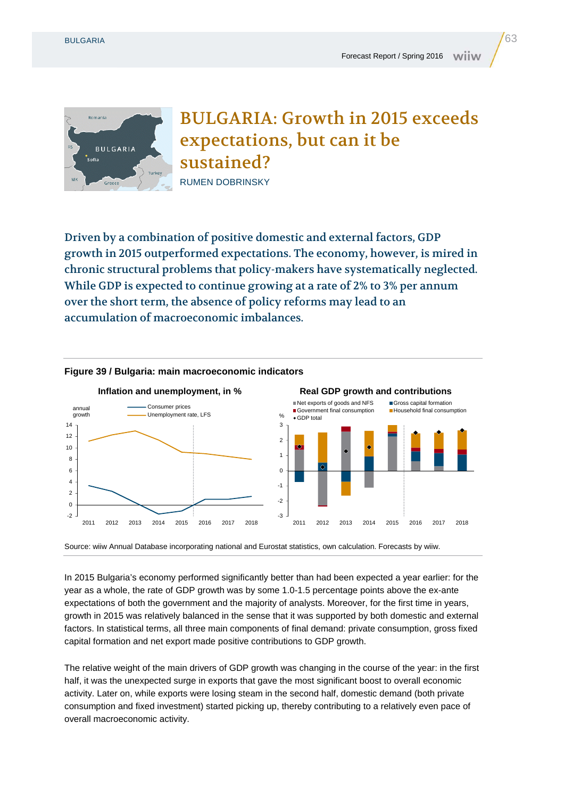

BULGARIA: Growth in 2015 exceeds expectations, but can it be sustained? RUMEN DOBRINSKY

Driven by a combination of positive domestic and external factors, GDP growth in 2015 outperformed expectations. The economy, however, is mired in chronic structural problems that policy-makers have systematically neglected. While GDP is expected to continue growing at a rate of 2% to 3% per annum over the short term, the absence of policy reforms may lead to an accumulation of macroeconomic imbalances.



## **Figure 39 / Bulgaria: main macroeconomic indicators**

Source: wiiw Annual Database incorporating national and Eurostat statistics, own calculation. Forecasts by wiiw.

In 2015 Bulgaria's economy performed significantly better than had been expected a year earlier: for the year as a whole, the rate of GDP growth was by some 1.0-1.5 percentage points above the ex-ante expectations of both the government and the majority of analysts. Moreover, for the first time in years, growth in 2015 was relatively balanced in the sense that it was supported by both domestic and external factors. In statistical terms, all three main components of final demand: private consumption, gross fixed capital formation and net export made positive contributions to GDP growth.

The relative weight of the main drivers of GDP growth was changing in the course of the year: in the first half, it was the unexpected surge in exports that gave the most significant boost to overall economic activity. Later on, while exports were losing steam in the second half, domestic demand (both private consumption and fixed investment) started picking up, thereby contributing to a relatively even pace of overall macroeconomic activity.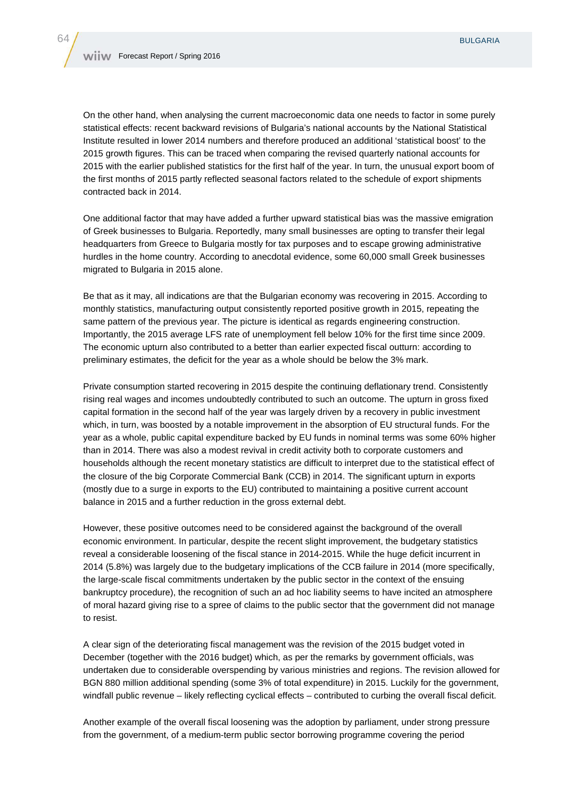On the other hand, when analysing the current macroeconomic data one needs to factor in some purely statistical effects: recent backward revisions of Bulgaria's national accounts by the National Statistical Institute resulted in lower 2014 numbers and therefore produced an additional 'statistical boost' to the 2015 growth figures. This can be traced when comparing the revised quarterly national accounts for 2015 with the earlier published statistics for the first half of the year. In turn, the unusual export boom of the first months of 2015 partly reflected seasonal factors related to the schedule of export shipments contracted back in 2014.

One additional factor that may have added a further upward statistical bias was the massive emigration of Greek businesses to Bulgaria. Reportedly, many small businesses are opting to transfer their legal headquarters from Greece to Bulgaria mostly for tax purposes and to escape growing administrative hurdles in the home country. According to anecdotal evidence, some 60,000 small Greek businesses migrated to Bulgaria in 2015 alone.

Be that as it may, all indications are that the Bulgarian economy was recovering in 2015. According to monthly statistics, manufacturing output consistently reported positive growth in 2015, repeating the same pattern of the previous year. The picture is identical as regards engineering construction. Importantly, the 2015 average LFS rate of unemployment fell below 10% for the first time since 2009. The economic upturn also contributed to a better than earlier expected fiscal outturn: according to preliminary estimates, the deficit for the year as a whole should be below the 3% mark.

Private consumption started recovering in 2015 despite the continuing deflationary trend. Consistently rising real wages and incomes undoubtedly contributed to such an outcome. The upturn in gross fixed capital formation in the second half of the year was largely driven by a recovery in public investment which, in turn, was boosted by a notable improvement in the absorption of EU structural funds. For the year as a whole, public capital expenditure backed by EU funds in nominal terms was some 60% higher than in 2014. There was also a modest revival in credit activity both to corporate customers and households although the recent monetary statistics are difficult to interpret due to the statistical effect of the closure of the big Corporate Commercial Bank (CCB) in 2014. The significant upturn in exports (mostly due to a surge in exports to the EU) contributed to maintaining a positive current account balance in 2015 and a further reduction in the gross external debt.

However, these positive outcomes need to be considered against the background of the overall economic environment. In particular, despite the recent slight improvement, the budgetary statistics reveal a considerable loosening of the fiscal stance in 2014-2015. While the huge deficit incurrent in 2014 (5.8%) was largely due to the budgetary implications of the CCB failure in 2014 (more specifically, the large-scale fiscal commitments undertaken by the public sector in the context of the ensuing bankruptcy procedure), the recognition of such an ad hoc liability seems to have incited an atmosphere of moral hazard giving rise to a spree of claims to the public sector that the government did not manage to resist.

A clear sign of the deteriorating fiscal management was the revision of the 2015 budget voted in December (together with the 2016 budget) which, as per the remarks by government officials, was undertaken due to considerable overspending by various ministries and regions. The revision allowed for BGN 880 million additional spending (some 3% of total expenditure) in 2015. Luckily for the government, windfall public revenue – likely reflecting cyclical effects – contributed to curbing the overall fiscal deficit.

Another example of the overall fiscal loosening was the adoption by parliament, under strong pressure from the government, of a medium-term public sector borrowing programme covering the period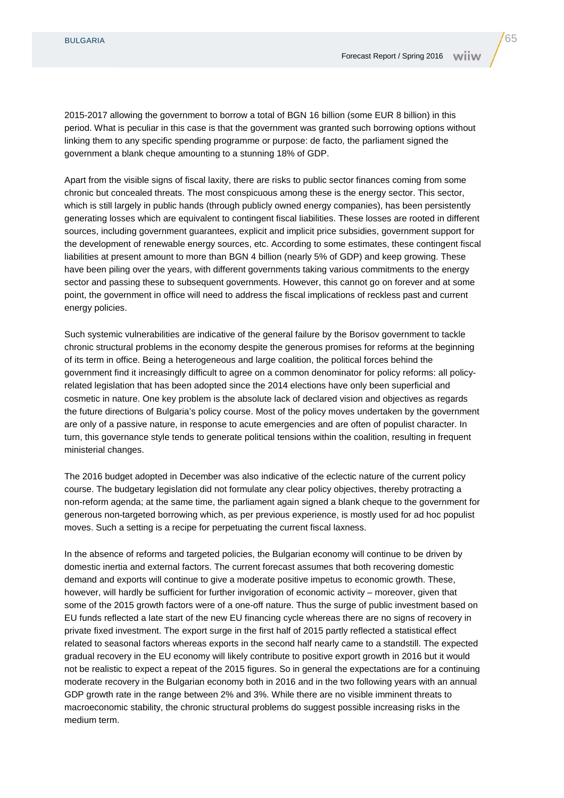2015-2017 allowing the government to borrow a total of BGN 16 billion (some EUR 8 billion) in this period. What is peculiar in this case is that the government was granted such borrowing options without linking them to any specific spending programme or purpose: de facto, the parliament signed the government a blank cheque amounting to a stunning 18% of GDP.

Apart from the visible signs of fiscal laxity, there are risks to public sector finances coming from some chronic but concealed threats. The most conspicuous among these is the energy sector. This sector, which is still largely in public hands (through publicly owned energy companies), has been persistently generating losses which are equivalent to contingent fiscal liabilities. These losses are rooted in different sources, including government guarantees, explicit and implicit price subsidies, government support for the development of renewable energy sources, etc. According to some estimates, these contingent fiscal liabilities at present amount to more than BGN 4 billion (nearly 5% of GDP) and keep growing. These have been piling over the years, with different governments taking various commitments to the energy sector and passing these to subsequent governments. However, this cannot go on forever and at some point, the government in office will need to address the fiscal implications of reckless past and current energy policies.

Such systemic vulnerabilities are indicative of the general failure by the Borisov government to tackle chronic structural problems in the economy despite the generous promises for reforms at the beginning of its term in office. Being a heterogeneous and large coalition, the political forces behind the government find it increasingly difficult to agree on a common denominator for policy reforms: all policyrelated legislation that has been adopted since the 2014 elections have only been superficial and cosmetic in nature. One key problem is the absolute lack of declared vision and objectives as regards the future directions of Bulgaria's policy course. Most of the policy moves undertaken by the government are only of a passive nature, in response to acute emergencies and are often of populist character. In turn, this governance style tends to generate political tensions within the coalition, resulting in frequent ministerial changes.

The 2016 budget adopted in December was also indicative of the eclectic nature of the current policy course. The budgetary legislation did not formulate any clear policy objectives, thereby protracting a non-reform agenda; at the same time, the parliament again signed a blank cheque to the government for generous non-targeted borrowing which, as per previous experience, is mostly used for ad hoc populist moves. Such a setting is a recipe for perpetuating the current fiscal laxness.

In the absence of reforms and targeted policies, the Bulgarian economy will continue to be driven by domestic inertia and external factors. The current forecast assumes that both recovering domestic demand and exports will continue to give a moderate positive impetus to economic growth. These, however, will hardly be sufficient for further invigoration of economic activity – moreover, given that some of the 2015 growth factors were of a one-off nature. Thus the surge of public investment based on EU funds reflected a late start of the new EU financing cycle whereas there are no signs of recovery in private fixed investment. The export surge in the first half of 2015 partly reflected a statistical effect related to seasonal factors whereas exports in the second half nearly came to a standstill. The expected gradual recovery in the EU economy will likely contribute to positive export growth in 2016 but it would not be realistic to expect a repeat of the 2015 figures. So in general the expectations are for a continuing moderate recovery in the Bulgarian economy both in 2016 and in the two following years with an annual GDP growth rate in the range between 2% and 3%. While there are no visible imminent threats to macroeconomic stability, the chronic structural problems do suggest possible increasing risks in the medium term.